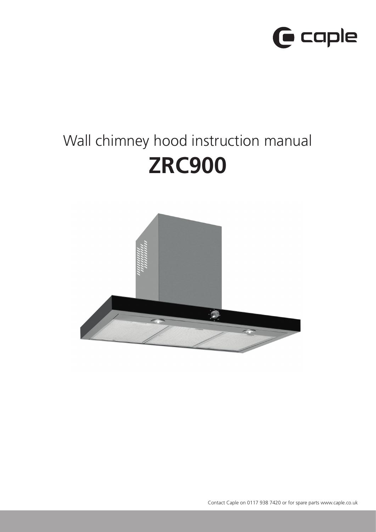

# Wall chimney hood instruction manual **ZRC900**

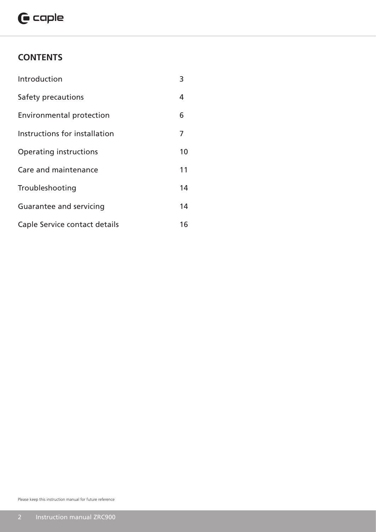## $\mathbf \Theta$  caple

## **CONTENTS**

| Introduction                    | 3  |
|---------------------------------|----|
| Safety precautions              | 4  |
| <b>Environmental protection</b> | 6  |
| Instructions for installation   | 7  |
| Operating instructions          | 10 |
| Care and maintenance            | 11 |
| Troubleshooting                 | 14 |
| Guarantee and servicing         | 14 |
| Caple Service contact details   | 16 |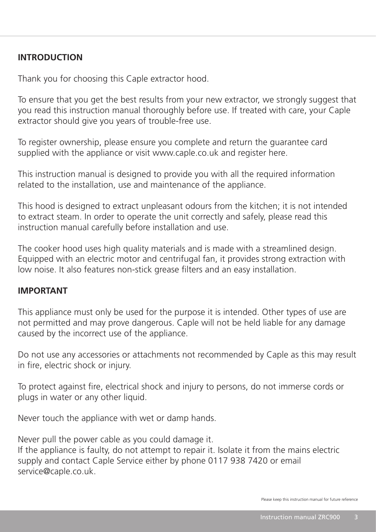## **INTRODUCTION**

Thank you for choosing this Caple extractor hood.

To ensure that you get the best results from your new extractor, we strongly suggest that you read this instruction manual thoroughly before use. If treated with care, your Caple extractor should give you years of trouble-free use.

To register ownership, please ensure you complete and return the guarantee card supplied with the appliance or visit www.caple.co.uk and register here.

This instruction manual is designed to provide you with all the required information related to the installation, use and maintenance of the appliance.

This hood is designed to extract unpleasant odours from the kitchen; it is not intended to extract steam. In order to operate the unit correctly and safely, please read this instruction manual carefully before installation and use.

The cooker hood uses high quality materials and is made with a streamlined design. Equipped with an electric motor and centrifugal fan, it provides strong extraction with low noise. It also features non-stick grease filters and an easy installation.

## **IMPORTANT**

This appliance must only be used for the purpose it is intended. Other types of use are not permitted and may prove dangerous. Caple will not be held liable for any damage caused by the incorrect use of the appliance.

Do not use any accessories or attachments not recommended by Caple as this may result in fire, electric shock or injury.

To protect against fire, electrical shock and injury to persons, do not immerse cords or plugs in water or any other liquid.

Never touch the appliance with wet or damp hands.

Never pull the power cable as you could damage it. If the appliance is faulty, do not attempt to repair it. Isolate it from the mains electric supply and contact Caple Service either by phone 0117 938 7420 or email

service@caple.co.uk.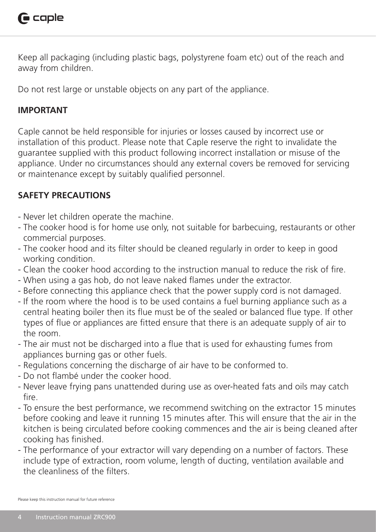

Keep all packaging (including plastic bags, polystyrene foam etc) out of the reach and away from children.

Do not rest large or unstable objects on any part of the appliance.

## **IMPORTANT**

Caple cannot be held responsible for injuries or losses caused by incorrect use or installation of this product. Please note that Caple reserve the right to invalidate the guarantee supplied with this product following incorrect installation or misuse of the appliance. Under no circumstances should any external covers be removed for servicing or maintenance except by suitably qualified personnel.

## **SAFETY PRECAUTIONS**

- Never let children operate the machine.
- The cooker hood is for home use only, not suitable for barbecuing, restaurants or other commercial purposes.
- The cooker hood and its filter should be cleaned regularly in order to keep in good working condition.
- Clean the cooker hood according to the instruction manual to reduce the risk of fire.
- When using a gas hob, do not leave naked flames under the extractor.
- Before connecting this appliance check that the power supply cord is not damaged.
- If the room where the hood is to be used contains a fuel burning appliance such as a central heating boiler then its flue must be of the sealed or balanced flue type. If other types of flue or appliances are fitted ensure that there is an adequate supply of air to the room.
- The air must not be discharged into a flue that is used for exhausting fumes from appliances burning gas or other fuels.
- Regulations concerning the discharge of air have to be conformed to.
- Do not flambé under the cooker hood.
- Never leave frying pans unattended during use as over-heated fats and oils may catch fire.
- To ensure the best performance, we recommend switching on the extractor 15 minutes before cooking and leave it running 15 minutes after. This will ensure that the air in the kitchen is being circulated before cooking commences and the air is being cleaned after cooking has finished.
- The performance of your extractor will vary depending on a number of factors. These include type of extraction, room volume, length of ducting, ventilation available and the cleanliness of the filters.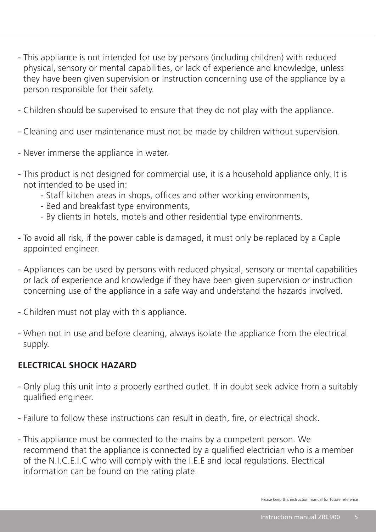- This appliance is not intended for use by persons (including children) with reduced physical, sensory or mental capabilities, or lack of experience and knowledge, unless they have been given supervision or instruction concerning use of the appliance by a person responsible for their safety.
- Children should be supervised to ensure that they do not play with the appliance.
- Cleaning and user maintenance must not be made by children without supervision.
- Never immerse the appliance in water.
- This product is not designed for commercial use, it is a household appliance only. It is not intended to be used in:
	- Staff kitchen areas in shops, offices and other working environments,
	- Bed and breakfast type environments,
	- By clients in hotels, motels and other residential type environments.
- To avoid all risk, if the power cable is damaged, it must only be replaced by a Caple appointed engineer.
- Appliances can be used by persons with reduced physical, sensory or mental capabilities or lack of experience and knowledge if they have been given supervision or instruction concerning use of the appliance in a safe way and understand the hazards involved.
- Children must not play with this appliance.
- When not in use and before cleaning, always isolate the appliance from the electrical supply.

## **ELECTRICAL SHOCK HAZARD**

- Only plug this unit into a properly earthed outlet. If in doubt seek advice from a suitably qualified engineer.
- Failure to follow these instructions can result in death, fire, or electrical shock.
- This appliance must be connected to the mains by a competent person. We recommend that the appliance is connected by a qualified electrician who is a member of the N.I.C.E.I.C who will comply with the I.E.E and local regulations. Electrical information can be found on the rating plate.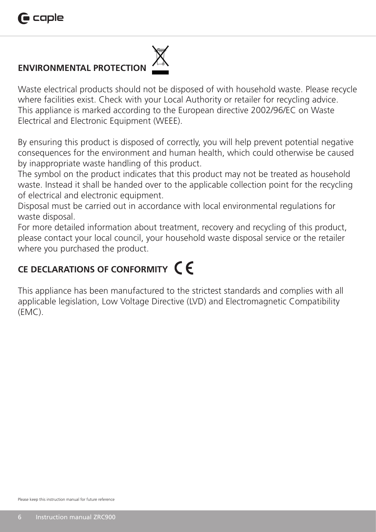## **ENVIRONMENTAL PROTECTION**

Waste electrical products should not be disposed of with household waste. Please recycle where facilities exist. Check with your Local Authority or retailer for recycling advice. This appliance is marked according to the European directive 2002/96/EC on Waste Electrical and Electronic Equipment (WEEE).

By ensuring this product is disposed of correctly, you will help prevent potential negative consequences for the environment and human health, which could otherwise be caused by inappropriate waste handling of this product.

The symbol on the product indicates that this product may not be treated as household waste. Instead it shall be handed over to the applicable collection point for the recycling of electrical and electronic equipment.

Disposal must be carried out in accordance with local environmental regulations for waste disposal.

For more detailed information about treatment, recovery and recycling of this product, please contact your local council, your household waste disposal service or the retailer where you purchased the product.

## **CE DECLARATIONS OF CONFORMITY**

This appliance has been manufactured to the strictest standards and complies with all applicable legislation, Low Voltage Directive (LVD) and Electromagnetic Compatibility (EMC).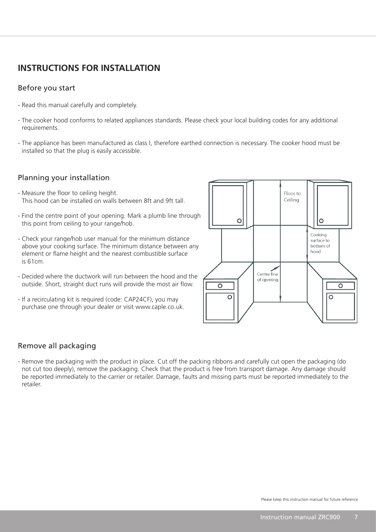## **INSTRUCTIONS FOR INSTALLATION**

## Before you start

- Read this manual carefully and completely.
- The cooker hood conforms to related appliances standards. Please check your local building codes for any additional requirements.
- The appliance has been manufactured as class I, therefore earthed connection is necessary. The cooker hood must be installed so that the plug is easily accessible.

## Planning your installation

- Measure the floor to ceiling height. This hood can be installed on walls between 8ft and 9ft tall.
- Find the centre point of your opening. Mark a plumb line through this point from ceiling to your range/hob.
- Check your range/hob user manual for the minimum distance above your cooking surface. The minimum distance between any element or flame height and the nearest combustible surface is 61cm.
- Decided where the ductwork will run between the hood and the outside. Short, straight duct runs will provide the most air flow.
- If a recirculating kit is required (code: CAP24CF), you may purchase one through your dealer or visit www.caple.co.uk.



## Remove all packaging

- Remove the packaging with the product in place. Cut off the packing ribbons and carefully cut open the packaging (do not cut too deeply), remove the packaging. Check that the product is free from transport damage. Any damage should be reported immediately to the carrier or retailer. Damage, faults and missing parts must be reported immediately to the retailer.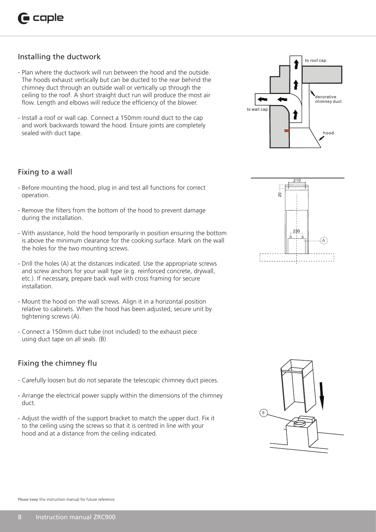## Installing the ductwork

- Plan where the ductwork will run between the hood and the outside. The hoods exhaust vertically but can be ducted to the rear behind the chimney duct through an outside wall or vertically up through the ceiling to the roof. A short straight duct run will produce the most air flow. Length and elbows will reduce the efficiency of the blower.
- Install a roof or wall cap. Connect a 150mm round duct to the cap and work backwards toward the hood. Ensure joints are completely sealed with duct tape.

#### Fixing to a wall

- Before mounting the hood, plug in and test all functions for correct operation.
- Remove the filters from the bottom of the hood to prevent damage during the installation.
- With assistance, hold the hood temporarily in position ensuring the bottom is above the minimum clearance for the cooking surface. Mark on the wall the holes for the two mounting screws.
- Drill the holes (A) at the distances indicated. Use the appropriate screws and screw anchors for your wall type (e.g. reinforced concrete, drywall, etc.). If necessary, prepare back wall with cross framing for secure installation.
- Mount the hood on the wall screws. Align it in a horizontal position relative to cabinets. When the hood has been adjusted, secure unit by tightening screws (A).
- Connect a 150mm duct tube (not included) to the exhaust piece using duct tape on all seals. (B)

## Fixing the chimney flu

- Carefully loosen but do not separate the telescopic chimney duct pieces.
- Arrange the electrical power supply within the dimensions of the chimney duct.
- Adjust the width of the support bracket to match the upper duct. Fix it to the ceiling using the screws so that it is centred in line with your hood and at a distance from the ceiling indicated.





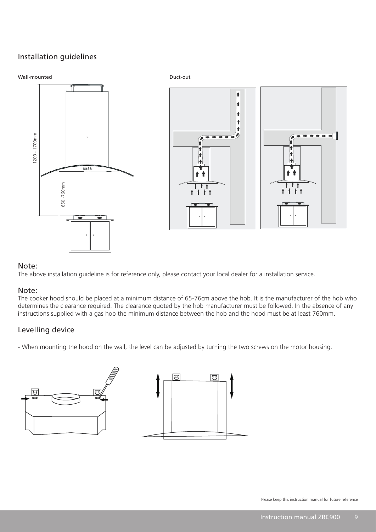## Installation guidelines



#### Note:

The above installation guideline is for reference only, please contact your local dealer for a installation service.

#### Note:

The cooker hood should be placed at a minimum distance of 65-76cm above the hob. It is the manufacturer of the hob who determines the clearance required. The clearance quoted by the hob manufacturer must be followed. In the absence of any instructions supplied with a gas hob the minimum distance between the hob and the hood must be at least 760mm. **iote:**<br>he above<br>**lote:**<br>he cooke<br>etermine<br>nstruction

## Levelling device

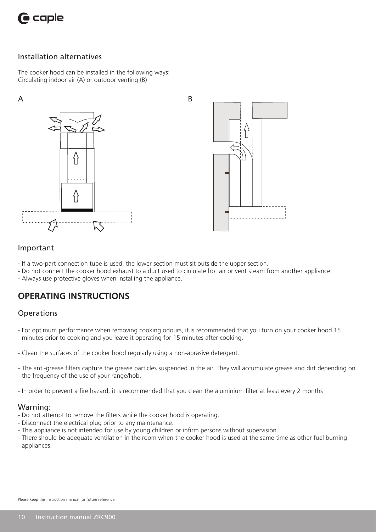

## Installation alternatives

The cooker hood can be installed in the following ways: Circulating indoor air (A) or outdoor venting (B)





#### Important

- If a two-part connection tube is used, the lower section must sit outside the upper section.
- Do not connect the cooker hood exhaust to a duct used to circulate hot air or vent steam from another appliance.
- Always use protective gloves when installing the appliance.

## **OPERATING INSTRUCTIONS**

#### **Operations**

- For optimum performance when removing cooking odours, it is recommended that you turn on your cooker hood 15 minutes prior to cooking and you leave it operating for 15 minutes after cooking.
- Clean the surfaces of the cooker hood regularly using a non-abrasive detergent.
- The anti-grease filters capture the grease particles suspended in the air. They will accumulate grease and dirt depending on the frequency of the use of your range/hob.
- In order to prevent a fire hazard, it is recommended that you clean the aluminium filter at least every 2 months

#### Warning:

- Do not attempt to remove the filters while the cooker hood is operating.
- Disconnect the electrical plug prior to any maintenance.
- This appliance is not intended for use by young children or infirm persons without supervision.
- There should be adequate ventilation in the room when the cooker hood is used at the same time as other fuel burning appliances.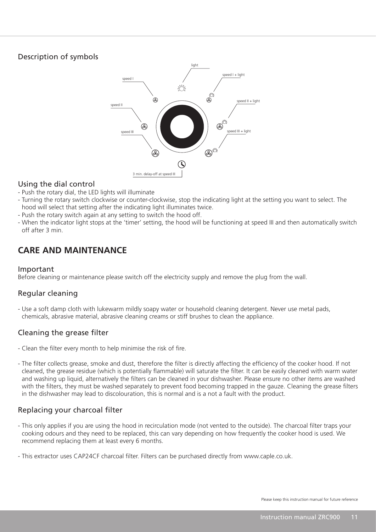## Description of symbols



## Using the dial control

- Push the rotary dial, the LED lights will illuminate
- Turning the rotary switch clockwise or counter-clockwise, stop the indicating light at the setting you want to select. The hood will select that setting after the indicating light illuminates twice.
- Push the rotary switch again at any setting to switch the hood off.
- When the indicator light stops at the 'timer' setting, the hood will be functioning at speed III and then automatically switch off after 3 min.

## **CARE AND MAINTENANCE**

#### Important

Before cleaning or maintenance please switch off the electricity supply and remove the plug from the wall.

## Regular cleaning

- Use a soft damp cloth with lukewarm mildly soapy water or household cleaning detergent. Never use metal pads, chemicals, abrasive material, abrasive cleaning creams or stiff brushes to clean the appliance.

## Cleaning the grease filter

- Clean the filter every month to help minimise the risk of fire.
- The filter collects grease, smoke and dust, therefore the filter is directly affecting the efficiency of the cooker hood. If not cleaned, the grease residue (which is potentially flammable) will saturate the filter. It can be easily cleaned with warm water and washing up liquid, alternatively the filters can be cleaned in your dishwasher. Please ensure no other items are washed with the filters, they must be washed separately to prevent food becoming trapped in the gauze. Cleaning the grease filters in the dishwasher may lead to discolouration, this is normal and is a not a fault with the product.

## Replacing your charcoal filter

- This only applies if you are using the hood in recirculation mode (not vented to the outside). The charcoal filter traps your cooking odours and they need to be replaced, this can vary depending on how frequently the cooker hood is used. We recommend replacing them at least every 6 months.
- This extractor uses CAP24CF charcoal filter. Filters can be purchased directly from www.caple.co.uk.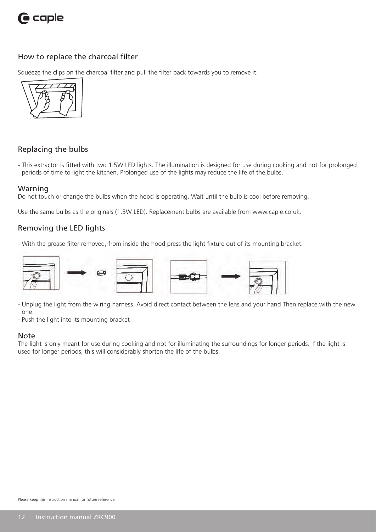

## How to replace the charcoal filter

Squeeze the clips on the charcoal filter and pull the filter back towards you to remove it.



#### Replacing the bulbs

- This extractor is fitted with two 1.5W LED lights. The illumination is designed for use during cooking and not for prolonged periods of time to light the kitchen. Prolonged use of the lights may reduce the life of the bulbs.

#### Warning

Do not touch or change the bulbs when the hood is operating. Wait until the bulb is cool before removing.

Use the same bulbs as the originals (1.5W LED). Replacement bulbs are available from www.caple.co.uk.

#### Removing the LED lights

- With the grease filter removed, from inside the hood press the light fixture out of its mounting bracket.



- Unplug the light from the wiring harness. Avoid direct contact between the lens and your hand Then replace with the new one.
- Push the light into its mounting bracket

#### Note

The light is only meant for use during cooking and not for illuminating the surroundings for longer periods. If the light is used for longer periods, this will considerably shorten the life of the bulbs.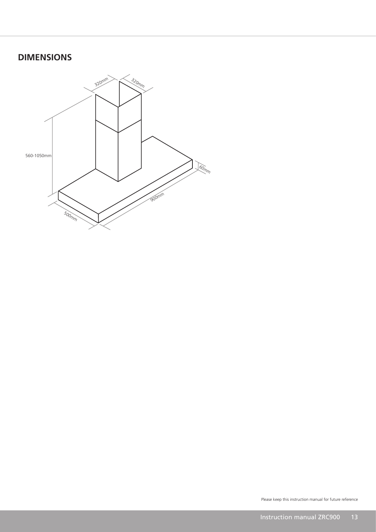## **DIMENSIONS**

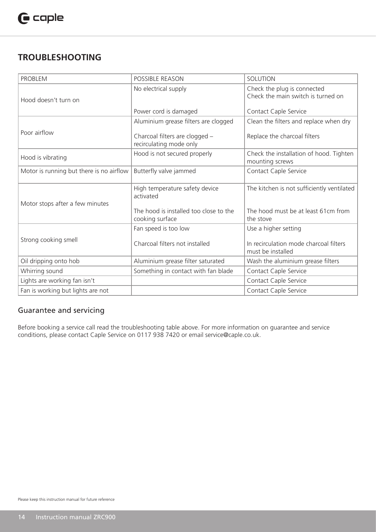## **TROUBLESHOOTING**

| <b>PROBLEM</b>                           | <b>POSSIBLE REASON</b>                                    | <b>SOLUTION</b>                                                   |
|------------------------------------------|-----------------------------------------------------------|-------------------------------------------------------------------|
| Hood doesn't turn on                     | No electrical supply                                      | Check the plug is connected<br>Check the main switch is turned on |
|                                          | Power cord is damaged                                     | Contact Caple Service                                             |
|                                          | Aluminium grease filters are clogged                      | Clean the filters and replace when dry                            |
| Poor airflow                             | Charcoal filters are clogged -<br>recirculating mode only | Replace the charcoal filters                                      |
| Hood is vibrating                        | Hood is not secured properly                              | Check the installation of hood. Tighten<br>mounting screws        |
| Motor is running but there is no airflow | Butterfly valve jammed                                    | Contact Caple Service                                             |
| Motor stops after a few minutes          | High temperature safety device<br>activated               | The kitchen is not sufficiently ventilated                        |
|                                          | The hood is installed too close to the<br>cooking surface | The hood must be at least 61cm from<br>the stove                  |
|                                          | Fan speed is too low                                      | Use a higher setting                                              |
| Strong cooking smell                     | Charcoal filters not installed                            | In recirculation mode charcoal filters<br>must be installed       |
| Oil dripping onto hob                    | Aluminium grease filter saturated                         | Wash the aluminium grease filters                                 |
| Whirring sound                           | Something in contact with fan blade                       | Contact Caple Service                                             |
| Lights are working fan isn't             |                                                           | Contact Caple Service                                             |
| Fan is working but lights are not        |                                                           | Contact Caple Service                                             |

## Guarantee and servicing

Before booking a service call read the troubleshooting table above. For more information on guarantee and service conditions, please contact Caple Service on 0117 938 7420 or email service@caple.co.uk.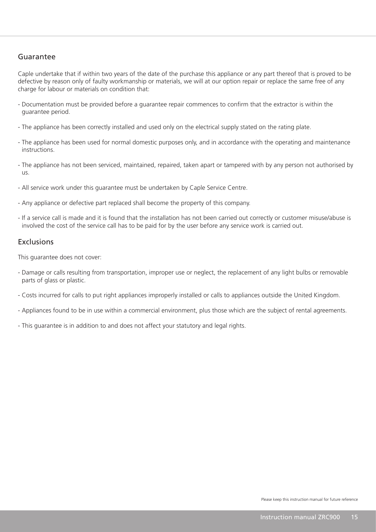## Guarantee

Caple undertake that if within two years of the date of the purchase this appliance or any part thereof that is proved to be defective by reason only of faulty workmanship or materials, we will at our option repair or replace the same free of any charge for labour or materials on condition that:

- Documentation must be provided before a guarantee repair commences to confirm that the extractor is within the guarantee period.
- The appliance has been correctly installed and used only on the electrical supply stated on the rating plate.
- The appliance has been used for normal domestic purposes only, and in accordance with the operating and maintenance instructions.
- The appliance has not been serviced, maintained, repaired, taken apart or tampered with by any person not authorised by us.
- All service work under this guarantee must be undertaken by Caple Service Centre.
- Any appliance or defective part replaced shall become the property of this company.
- If a service call is made and it is found that the installation has not been carried out correctly or customer misuse/abuse is involved the cost of the service call has to be paid for by the user before any service work is carried out.

#### Exclusions

This guarantee does not cover:

- Damage or calls resulting from transportation, improper use or neglect, the replacement of any light bulbs or removable parts of glass or plastic.
- Costs incurred for calls to put right appliances improperly installed or calls to appliances outside the United Kingdom.
- Appliances found to be in use within a commercial environment, plus those which are the subject of rental agreements.
- This guarantee is in addition to and does not affect your statutory and legal rights.